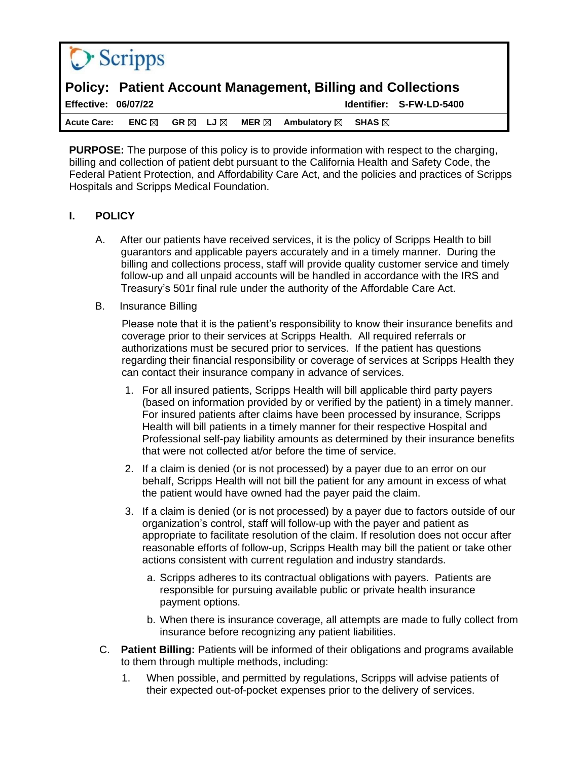

# **Policy: Patient Account Management, Billing and Collections**

**Effective: 06/07/22 Identifier: S-FW-LD-5400 Acute Care: ENC GR LJ MER Ambulatory SHAS**

**PURPOSE:** The purpose of this policy is to provide information with respect to the charging, billing and collection of patient debt pursuant to the California Health and Safety Code, the Federal Patient Protection, and Affordability Care Act, and the policies and practices of Scripps Hospitals and Scripps Medical Foundation.

### **I. POLICY**

- A. After our patients have received services, it is the policy of Scripps Health to bill guarantors and applicable payers accurately and in a timely manner. During the billing and collections process, staff will provide quality customer service and timely follow-up and all unpaid accounts will be handled in accordance with the IRS and Treasury's 501r final rule under the authority of the Affordable Care Act.
- B. Insurance Billing

Please note that it is the patient's responsibility to know their insurance benefits and coverage prior to their services at Scripps Health. All required referrals or authorizations must be secured prior to services. If the patient has questions regarding their financial responsibility or coverage of services at Scripps Health they can contact their insurance company in advance of services.

- 1. For all insured patients, Scripps Health will bill applicable third party payers (based on information provided by or verified by the patient) in a timely manner. For insured patients after claims have been processed by insurance, Scripps Health will bill patients in a timely manner for their respective Hospital and Professional self-pay liability amounts as determined by their insurance benefits that were not collected at/or before the time of service.
- 2. If a claim is denied (or is not processed) by a payer due to an error on our behalf, Scripps Health will not bill the patient for any amount in excess of what the patient would have owned had the payer paid the claim.
- 3. If a claim is denied (or is not processed) by a payer due to factors outside of our organization's control, staff will follow-up with the payer and patient as appropriate to facilitate resolution of the claim. If resolution does not occur after reasonable efforts of follow-up, Scripps Health may bill the patient or take other actions consistent with current regulation and industry standards.
	- a. Scripps adheres to its contractual obligations with payers. Patients are responsible for pursuing available public or private health insurance payment options.
	- b. When there is insurance coverage, all attempts are made to fully collect from insurance before recognizing any patient liabilities.
- C. **Patient Billing:** Patients will be informed of their obligations and programs available to them through multiple methods, including:
	- 1. When possible, and permitted by regulations, Scripps will advise patients of their expected out-of-pocket expenses prior to the delivery of services.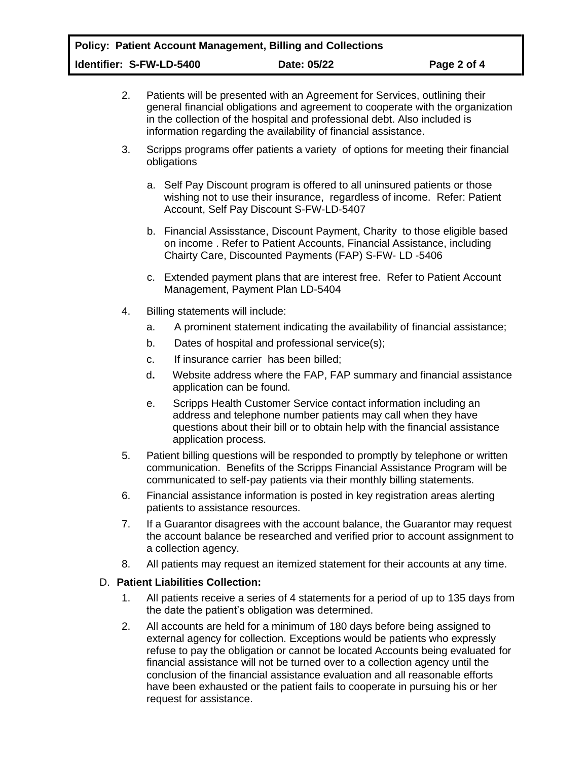- 2. Patients will be presented with an Agreement for Services, outlining their general financial obligations and agreement to cooperate with the organization in the collection of the hospital and professional debt. Also included is information regarding the availability of financial assistance.
- 3. Scripps programs offer patients a variety of options for meeting their financial obligations
	- a. Self Pay Discount program is offered to all uninsured patients or those wishing not to use their insurance, regardless of income. Refer: Patient Account, Self Pay Discount S-FW-LD-5407
	- b. Financial Assisstance, Discount Payment, Charity to those eligible based on income . Refer to Patient Accounts, Financial Assistance, including Chairty Care, Discounted Payments (FAP) S-FW- LD -5406
	- c. Extended payment plans that are interest free. Refer to Patient Account Management, Payment Plan LD-5404
- 4. Billing statements will include:
	- a. A prominent statement indicating the availability of financial assistance;
	- b. Dates of hospital and professional service(s);
	- c. If insurance carrier has been billed;
	- d**.** Website address where the FAP, FAP summary and financial assistance application can be found.
	- e. Scripps Health Customer Service contact information including an address and telephone number patients may call when they have questions about their bill or to obtain help with the financial assistance application process.
- 5. Patient billing questions will be responded to promptly by telephone or written communication. Benefits of the Scripps Financial Assistance Program will be communicated to self-pay patients via their monthly billing statements.
- 6. Financial assistance information is posted in key registration areas alerting patients to assistance resources.
- 7. If a Guarantor disagrees with the account balance, the Guarantor may request the account balance be researched and verified prior to account assignment to a collection agency.
- 8. All patients may request an itemized statement for their accounts at any time.

### D. **Patient Liabilities Collection:**

- 1. All patients receive a series of 4 statements for a period of up to 135 days from the date the patient's obligation was determined.
- 2. All accounts are held for a minimum of 180 days before being assigned to external agency for collection. Exceptions would be patients who expressly refuse to pay the obligation or cannot be located Accounts being evaluated for financial assistance will not be turned over to a collection agency until the conclusion of the financial assistance evaluation and all reasonable efforts have been exhausted or the patient fails to cooperate in pursuing his or her request for assistance.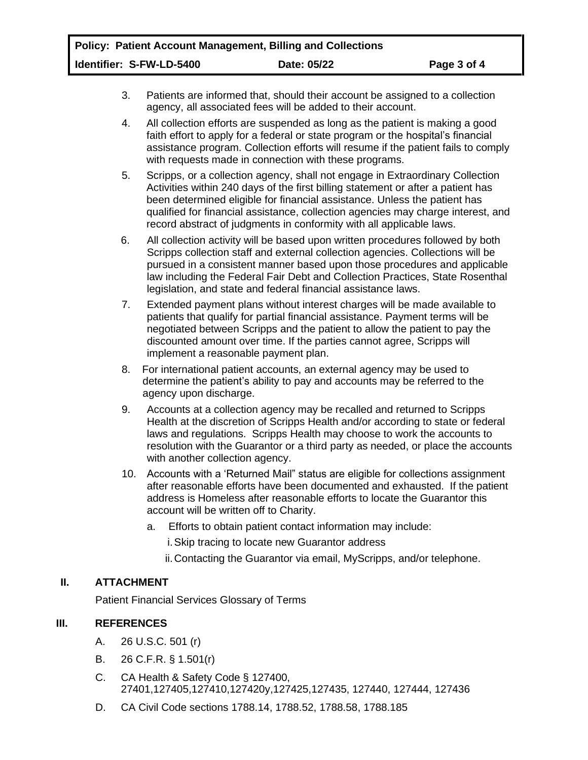- 3. Patients are informed that, should their account be assigned to a collection agency, all associated fees will be added to their account.
- 4. All collection efforts are suspended as long as the patient is making a good faith effort to apply for a federal or state program or the hospital's financial assistance program. Collection efforts will resume if the patient fails to comply with requests made in connection with these programs.
- 5. Scripps, or a collection agency, shall not engage in Extraordinary Collection Activities within 240 days of the first billing statement or after a patient has been determined eligible for financial assistance. Unless the patient has qualified for financial assistance, collection agencies may charge interest, and record abstract of judgments in conformity with all applicable laws.
- 6. All collection activity will be based upon written procedures followed by both Scripps collection staff and external collection agencies. Collections will be pursued in a consistent manner based upon those procedures and applicable law including the Federal Fair Debt and Collection Practices, State Rosenthal legislation, and state and federal financial assistance laws.
- 7. Extended payment plans without interest charges will be made available to patients that qualify for partial financial assistance. Payment terms will be negotiated between Scripps and the patient to allow the patient to pay the discounted amount over time. If the parties cannot agree, Scripps will implement a reasonable payment plan.
- 8. For international patient accounts, an external agency may be used to determine the patient's ability to pay and accounts may be referred to the agency upon discharge.
- 9. Accounts at a collection agency may be recalled and returned to Scripps Health at the discretion of Scripps Health and/or according to state or federal laws and regulations. Scripps Health may choose to work the accounts to resolution with the Guarantor or a third party as needed, or place the accounts with another collection agency.
- 10. Accounts with a 'Returned Mail" status are eligible for collections assignment after reasonable efforts have been documented and exhausted. If the patient address is Homeless after reasonable efforts to locate the Guarantor this account will be written off to Charity.
	- a. Efforts to obtain patient contact information may include:

i.Skip tracing to locate new Guarantor address

ii.Contacting the Guarantor via email, MyScripps, and/or telephone.

# **II. ATTACHMENT**

Patient Financial Services Glossary of Terms

# **III. REFERENCES**

- A. 26 U.S.C. 501 (r)
- B. 26 C.F.R. § 1.501(r)
- C. CA Health & Safety Code § 127400, 27401,127405,127410,127420y,127425,127435, 127440, 127444, 127436
- D. CA Civil Code sections 1788.14, 1788.52, 1788.58, 1788.185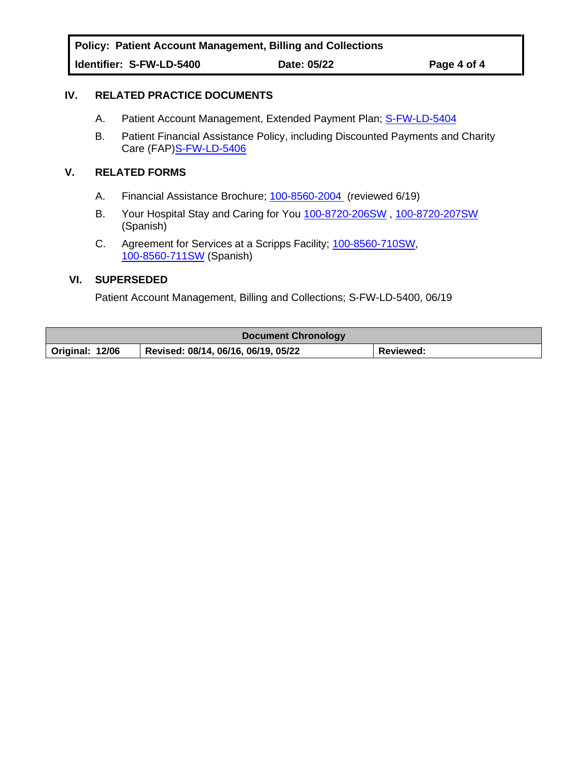**Policy: Patient Account Management, Billing and Collections Identifier: S-FW-LD-5400 Date: 05/22 Page 4 of 4**

### **IV. RELATED PRACTICE DOCUMENTS**

- A. Patient Account Management, Extended Payment Plan; S-FW-LD-5404
- B. Patient Financial Assistance Policy, including Discounted Payments and Charity Care (FAP[\)S-FW-LD-5406](https://scripps.policymedical.net/policymed/anonymous/docViewer?stoken=53fec0f9-2c4e-4ec8-af50-9abe8339cbaa&dtoken=15497e4a-b76b-4ff1-a8d5-db785990c96f)

#### **V. RELATED FORMS**

- A. Financial Assistance Brochure; [100-8560-2004](https://scripps.policymedical.net/policymed/anonymous/docViewer?stoken=53fec0f9-2c4e-4ec8-af50-9abe8339cbaa&dtoken=5f780fe6-698c-4787-af99-a5a873f5eda8) (reviewed 6/19)
- B. Your Hospital Stay and Caring for You [100-8720-206SW](https://scripps.policymedical.net/policymed/anonymous/docViewer?stoken=53fec0f9-2c4e-4ec8-af50-9abe8339cbaa&dtoken=c476b581-0c86-4dd4-a058-73a86a120696) , [100-8720-207SW](https://scripps.policymedical.net/policymed/anonymous/docViewer?stoken=53fec0f9-2c4e-4ec8-af50-9abe8339cbaa&dtoken=1b07f134-640e-43d0-b9aa-4b012363d1f1) (Spanish)
- C. Agreement for Services at a Scripps Facility; [100-8560-710SW,](https://scripps.policymedical.net/policymed/anonymous/docViewer?stoken=53fec0f9-2c4e-4ec8-af50-9abe8339cbaa&dtoken=d2a88787-4065-4337-a9ee-c110a82c74cc) [100-8560-711SW](https://scripps.policymedical.net/policymed/anonymous/docViewer?stoken=53fec0f9-2c4e-4ec8-af50-9abe8339cbaa&dtoken=cf845eb1-0e9a-47ff-98cd-643ef7a32cdc) (Spanish)

#### **VI. SUPERSEDED**

Patient Account Management, Billing and Collections; S-FW-LD-5400, 06/19

| <b>Document Chronology</b> |                                     |           |
|----------------------------|-------------------------------------|-----------|
| Original: 12/06            | Revised: 08/14, 06/16, 06/19, 05/22 | Reviewed: |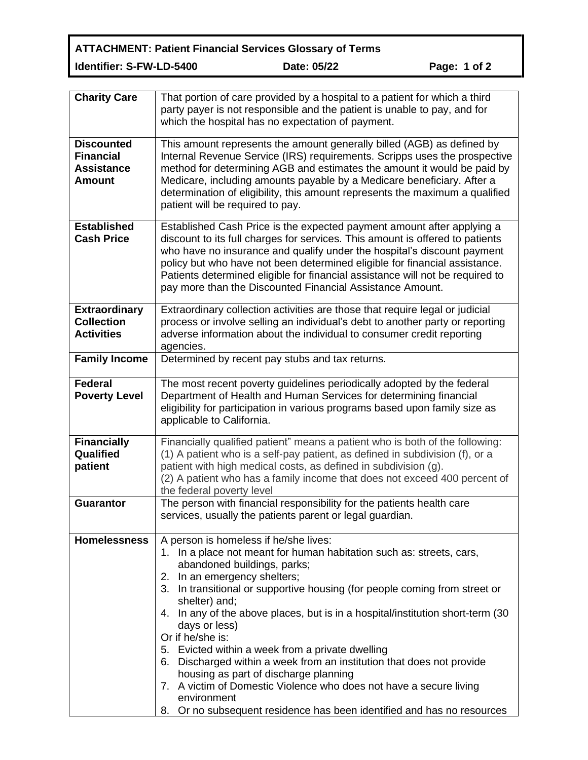**ATTACHMENT: Patient Financial Services Glossary of Terms Identifier: S-FW-LD-5400 Date: 05/22 Page: 1 of 2**

| <b>Charity Care</b>                                                         | That portion of care provided by a hospital to a patient for which a third<br>party payer is not responsible and the patient is unable to pay, and for<br>which the hospital has no expectation of payment.                                                                                                                                                                                                                                                                                                                                                                                                                                                                                                                             |
|-----------------------------------------------------------------------------|-----------------------------------------------------------------------------------------------------------------------------------------------------------------------------------------------------------------------------------------------------------------------------------------------------------------------------------------------------------------------------------------------------------------------------------------------------------------------------------------------------------------------------------------------------------------------------------------------------------------------------------------------------------------------------------------------------------------------------------------|
| <b>Discounted</b><br><b>Financial</b><br><b>Assistance</b><br><b>Amount</b> | This amount represents the amount generally billed (AGB) as defined by<br>Internal Revenue Service (IRS) requirements. Scripps uses the prospective<br>method for determining AGB and estimates the amount it would be paid by<br>Medicare, including amounts payable by a Medicare beneficiary. After a<br>determination of eligibility, this amount represents the maximum a qualified<br>patient will be required to pay.                                                                                                                                                                                                                                                                                                            |
| <b>Established</b><br><b>Cash Price</b>                                     | Established Cash Price is the expected payment amount after applying a<br>discount to its full charges for services. This amount is offered to patients<br>who have no insurance and qualify under the hospital's discount payment<br>policy but who have not been determined eligible for financial assistance.<br>Patients determined eligible for financial assistance will not be required to<br>pay more than the Discounted Financial Assistance Amount.                                                                                                                                                                                                                                                                          |
| <b>Extraordinary</b><br><b>Collection</b><br><b>Activities</b>              | Extraordinary collection activities are those that require legal or judicial<br>process or involve selling an individual's debt to another party or reporting<br>adverse information about the individual to consumer credit reporting<br>agencies.                                                                                                                                                                                                                                                                                                                                                                                                                                                                                     |
| <b>Family Income</b>                                                        | Determined by recent pay stubs and tax returns.                                                                                                                                                                                                                                                                                                                                                                                                                                                                                                                                                                                                                                                                                         |
| <b>Federal</b><br><b>Poverty Level</b>                                      | The most recent poverty guidelines periodically adopted by the federal<br>Department of Health and Human Services for determining financial<br>eligibility for participation in various programs based upon family size as<br>applicable to California.                                                                                                                                                                                                                                                                                                                                                                                                                                                                                 |
| <b>Financially</b><br>Qualified<br>patient                                  | Financially qualified patient" means a patient who is both of the following:<br>(1) A patient who is a self-pay patient, as defined in subdivision (f), or a<br>patient with high medical costs, as defined in subdivision (g).<br>(2) A patient who has a family income that does not exceed 400 percent of<br>the federal poverty level                                                                                                                                                                                                                                                                                                                                                                                               |
| <b>Guarantor</b>                                                            | The person with financial responsibility for the patients health care<br>services, usually the patients parent or legal guardian.                                                                                                                                                                                                                                                                                                                                                                                                                                                                                                                                                                                                       |
| <b>Homelessness</b>                                                         | A person is homeless if he/she lives:<br>1. In a place not meant for human habitation such as: streets, cars,<br>abandoned buildings, parks;<br>2. In an emergency shelters;<br>3. In transitional or supportive housing (for people coming from street or<br>shelter) and;<br>4. In any of the above places, but is in a hospital/institution short-term (30<br>days or less)<br>Or if he/she is:<br>5. Evicted within a week from a private dwelling<br>6. Discharged within a week from an institution that does not provide<br>housing as part of discharge planning<br>7. A victim of Domestic Violence who does not have a secure living<br>environment<br>8. Or no subsequent residence has been identified and has no resources |